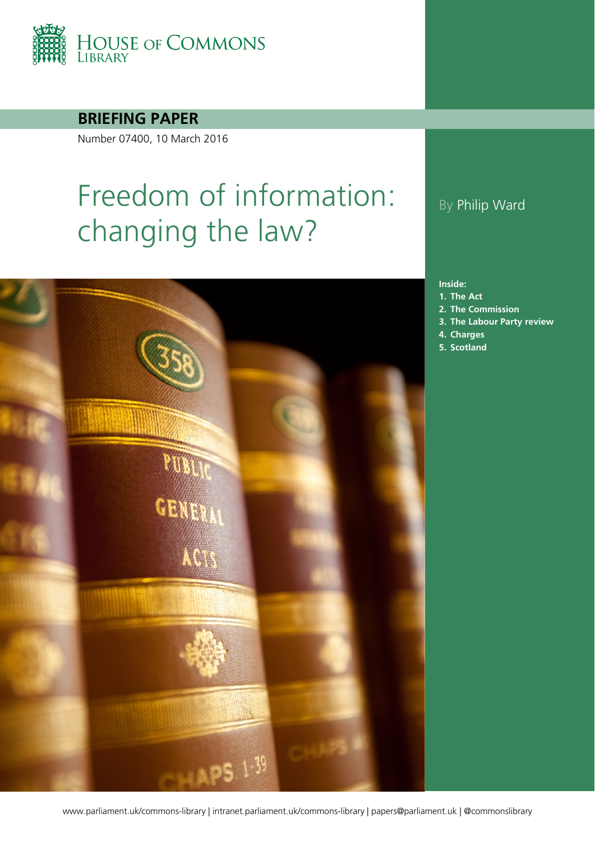

#### **BRIEFING PAPER**

Number 07400, 10 March 2016

# Freedom of information: changing the law?



#### By Philip Ward

#### **Inside:**

- **1. [The Act](#page-3-0)**
- **2. [The Commission](#page-4-0)**
- **3. [The Labour Party review](#page-13-0)**
- **4. [Charges](#page-14-0)**
- **5. [Scotland](#page-16-0)**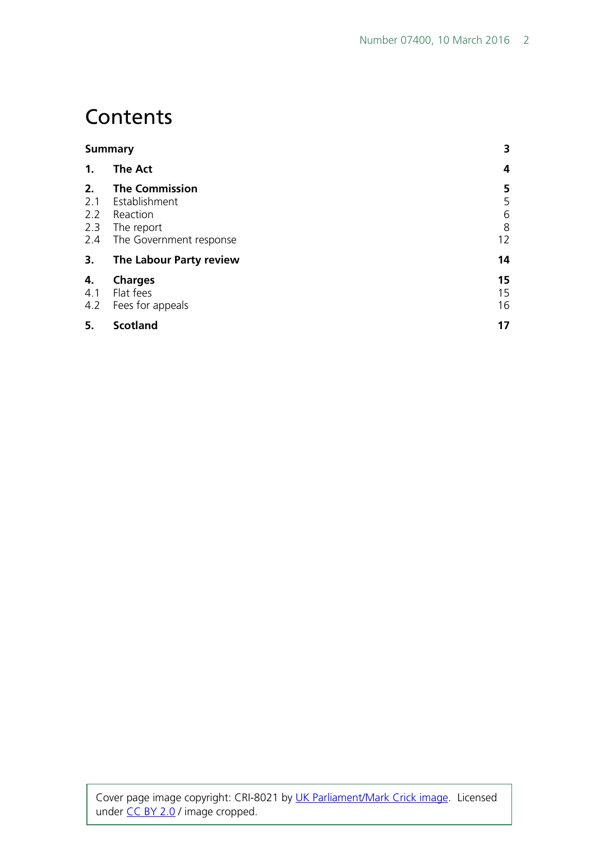### **Contents**

| <b>Summary</b>                 |                                                                                             | 3                      |
|--------------------------------|---------------------------------------------------------------------------------------------|------------------------|
| 1 <sub>1</sub>                 | <b>The Act</b>                                                                              | 4                      |
| 2.<br>2.1<br>2.2<br>2.3<br>2.4 | <b>The Commission</b><br>Establishment<br>Reaction<br>The report<br>The Government response | 5<br>5<br>6<br>8<br>12 |
| 3.                             | The Labour Party review                                                                     | 14                     |
| 4.<br>4.1<br>4.2               | <b>Charges</b><br>Flat fees<br>Fees for appeals                                             | 15<br>15<br>16         |
| 5.                             | <b>Scotland</b>                                                                             | 17                     |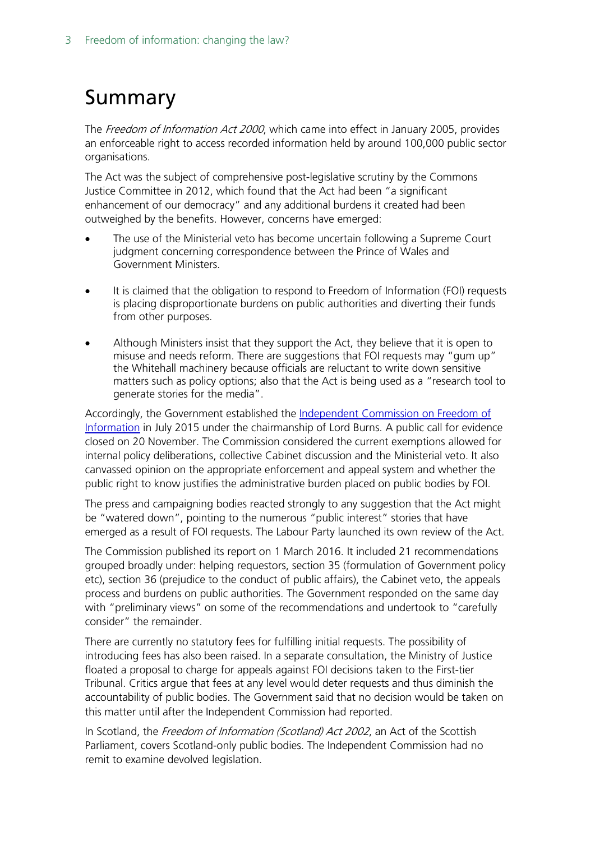# <span id="page-2-0"></span>Summary

The *Freedom of Information Act 2000*, which came into effect in January 2005, provides an enforceable right to access recorded information held by around 100,000 public sector organisations.

The Act was the subject of comprehensive post-legislative scrutiny by the Commons Justice Committee in 2012, which found that the Act had been "a significant enhancement of our democracy" and any additional burdens it created had been outweighed by the benefits. However, concerns have emerged:

- The use of the Ministerial veto has become uncertain following a Supreme Court judgment concerning correspondence between the Prince of Wales and Government Ministers.
- It is claimed that the obligation to respond to Freedom of Information (FOI) requests is placing disproportionate burdens on public authorities and diverting their funds from other purposes.
- Although Ministers insist that they support the Act, they believe that it is open to misuse and needs reform. There are suggestions that FOI requests may "gum up" the Whitehall machinery because officials are reluctant to write down sensitive matters such as policy options; also that the Act is being used as a "research tool to generate stories for the media".

Accordingly, the Government established the [Independent Commission on Freedom of](https://www.gov.uk/government/organisations/independent-commission-on-freedom-of-information)  [Information](https://www.gov.uk/government/organisations/independent-commission-on-freedom-of-information) in July 2015 under the chairmanship of Lord Burns. A public call for evidence closed on 20 November. The Commission considered the current exemptions allowed for internal policy deliberations, collective Cabinet discussion and the Ministerial veto. It also canvassed opinion on the appropriate enforcement and appeal system and whether the public right to know justifies the administrative burden placed on public bodies by FOI.

The press and campaigning bodies reacted strongly to any suggestion that the Act might be "watered down", pointing to the numerous "public interest" stories that have emerged as a result of FOI requests. The Labour Party launched its own review of the Act.

The Commission published its report on 1 March 2016. It included 21 recommendations grouped broadly under: helping requestors, section 35 (formulation of Government policy etc), section 36 (prejudice to the conduct of public affairs), the Cabinet veto, the appeals process and burdens on public authorities. The Government responded on the same day with "preliminary views" on some of the recommendations and undertook to "carefully consider" the remainder.

There are currently no statutory fees for fulfilling initial requests. The possibility of introducing fees has also been raised. In a separate consultation, the Ministry of Justice floated a proposal to charge for appeals against FOI decisions taken to the First-tier Tribunal. Critics argue that fees at any level would deter requests and thus diminish the accountability of public bodies. The Government said that no decision would be taken on this matter until after the Independent Commission had reported.

In Scotland, the Freedom of Information (Scotland) Act 2002, an Act of the Scottish Parliament, covers Scotland-only public bodies. The Independent Commission had no remit to examine devolved legislation.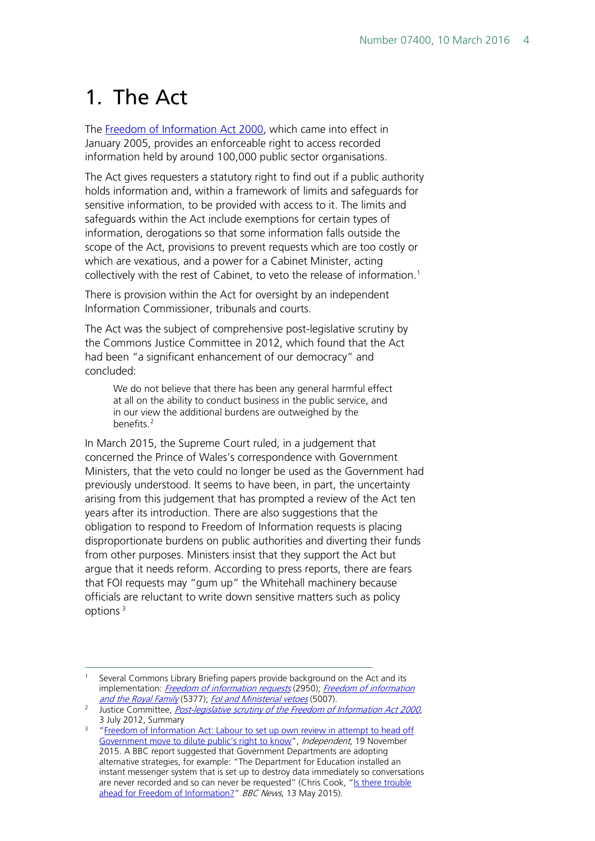## <span id="page-3-0"></span>1. The Act

The [Freedom of Information Act 2000,](http://www.legislation.gov.uk/ukpga/2000/36/contents) which came into effect in January 2005, provides an enforceable right to access recorded information held by around 100,000 public sector organisations.

The Act gives requesters a statutory right to find out if a public authority holds information and, within a framework of limits and safeguards for sensitive information, to be provided with access to it. The limits and safeguards within the Act include exemptions for certain types of information, derogations so that some information falls outside the scope of the Act, provisions to prevent requests which are too costly or which are vexatious, and a power for a Cabinet Minister, acting collectively with the rest of Cabinet, to veto the release of information.<sup>[1](#page-3-1)</sup>

There is provision within the Act for oversight by an independent Information Commissioner, tribunals and courts.

The Act was the subject of comprehensive post-legislative scrutiny by the Commons Justice Committee in 2012, which found that the Act had been "a significant enhancement of our democracy" and concluded:

We do not believe that there has been any general harmful effect at all on the ability to conduct business in the public service, and in our view the additional burdens are outweighed by the benefits.<sup>[2](#page-3-2)</sup>

In March 2015, the Supreme Court ruled, in a judgement that concerned the Prince of Wales's correspondence with Government Ministers, that the veto could no longer be used as the Government had previously understood. It seems to have been, in part, the uncertainty arising from this judgement that has prompted a review of the Act ten years after its introduction. There are also suggestions that the obligation to respond to Freedom of Information requests is placing disproportionate burdens on public authorities and diverting their funds from other purposes. Ministers insist that they support the Act but argue that it needs reform. According to press reports, there are fears that FOI requests may "gum up" the Whitehall machinery because officials are reluctant to write down sensitive matters such as policy options [3](#page-3-3)

<span id="page-3-1"></span><sup>&</sup>lt;sup>1</sup> Several Commons Library Briefing papers provide background on the Act and its implementation: *[Freedom of information requests](http://researchbriefings.parliament.uk/ResearchBriefing/Summary/SN02950)* (2950); *Freedom of information* and the Royal Family (5377); Fol and Ministerial vetoes (5007).<br><sup>2</sup> Justice Committee, <u>[Post-legislative scrutiny of the Freedom of Information Act 2000](http://www.publications.parliament.uk/pa/cm201213/cmselect/cmjust/96/9603.htm)</u>,

<span id="page-3-2"></span><sup>3</sup> July 2012, Summary

<span id="page-3-3"></span><sup>&</sup>lt;sup>3</sup> "Freedom of Information Act: Labour to set up own review in attempt to head off [Government move to dilute public's right to know"](http://www.independent.co.uk/news/uk/politics/freedom-of-information-act-labour-to-set-up-own-review-in-attempt-to-head-off-government-move-to-a6741121.html), Independent, 19 November 2015. A BBC report suggested that Government Departments are adopting alternative strategies, for example: "The Department for Education installed an instant messenger system that is set up to destroy data immediately so conversations are never recorded and so can never be requested" (Chris Cook, ["Is there trouble](http://www.bbc.co.uk/news/uk-politics-32723791)  [ahead for Freedom of Information?"](http://www.bbc.co.uk/news/uk-politics-32723791) BBC News, 13 May 2015).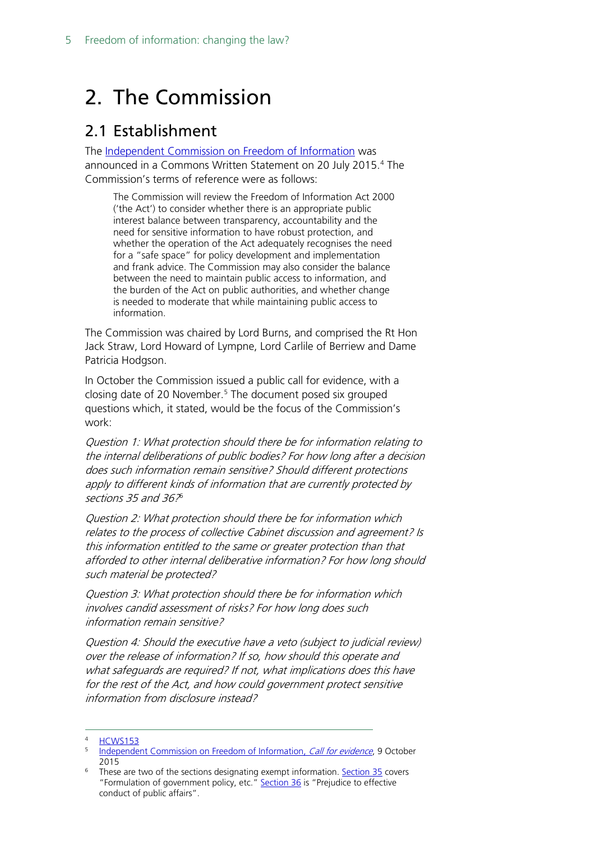# <span id="page-4-0"></span>2. The Commission

#### <span id="page-4-1"></span>2.1 Establishment

The [Independent Commission on Freedom of Information](https://www.gov.uk/government/organisations/independent-commission-on-freedom-of-information) was announced in a Commons Written Statement on 20 July 2015.<sup>[4](#page-4-2)</sup> The Commission's terms of reference were as follows:

The Commission will review the Freedom of Information Act 2000 ('the Act') to consider whether there is an appropriate public interest balance between transparency, accountability and the need for sensitive information to have robust protection, and whether the operation of the Act adequately recognises the need for a "safe space" for policy development and implementation and frank advice. The Commission may also consider the balance between the need to maintain public access to information, and the burden of the Act on public authorities, and whether change is needed to moderate that while maintaining public access to information.

The Commission was chaired by Lord Burns, and comprised the Rt Hon Jack Straw, Lord Howard of Lympne, Lord Carlile of Berriew and Dame Patricia Hodgson.

In October the Commission issued a public call for evidence, with a closing date of 20 November.<sup>[5](#page-4-3)</sup> The document posed six grouped questions which, it stated, would be the focus of the Commission's work:

Question 1: What protection should there be for information relating to the internal deliberations of public bodies? For how long after a decision does such information remain sensitive? Should different protections apply to different kinds of information that are currently protected by sections 35 and 3[6](#page-4-4).76

Question 2: What protection should there be for information which relates to the process of collective Cabinet discussion and agreement? Is this information entitled to the same or greater protection than that afforded to other internal deliberative information? For how long should such material be protected?

Question 3: What protection should there be for information which involves candid assessment of risks? For how long does such information remain sensitive?

Question 4: Should the executive have a veto (subject to judicial review) over the release of information? If so, how should this operate and what safeguards are required? If not, what implications does this have for the rest of the Act, and how could government protect sensitive information from disclosure instead?

<span id="page-4-2"></span>**[HCWS153](http://www.parliament.uk/business/publications/written-questions-answers-statements/written-statement/Commons/2015-07-20/HCWS153/)** 

<span id="page-4-3"></span>[Independent Commission on Freedom of Information,](https://www.gov.uk/government/uploads/system/uploads/attachment_data/file/472007/ICFOI_call_for_evidence_paper_web281015.pdf) Call for evidence, 9 October<br>2015

<span id="page-4-4"></span>These are two of the sections designating exempt information. [Section 35](http://www.legislation.gov.uk/ukpga/2000/36/section/35) covers "Formulation of government policy, etc." [Section 36](http://www.legislation.gov.uk/ukpga/2000/36/section/36) is "Prejudice to effective conduct of public affairs".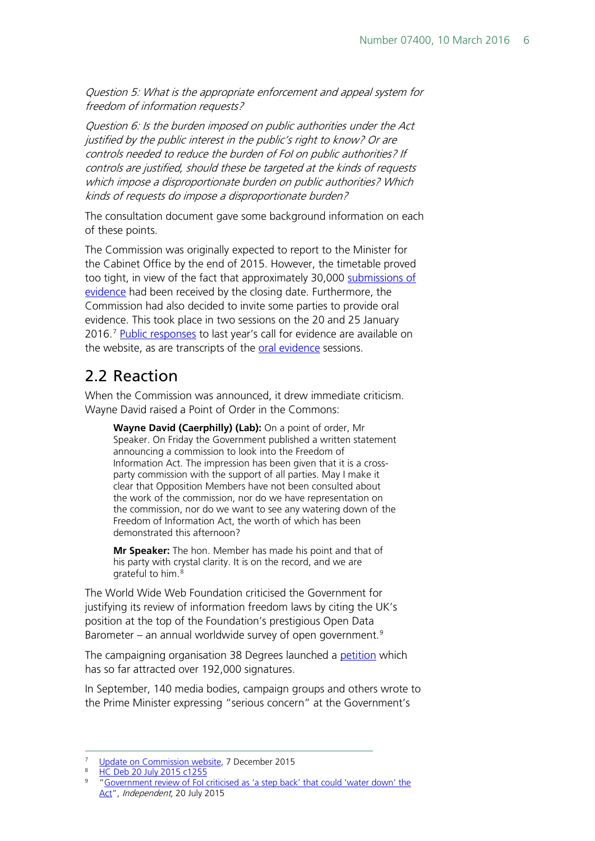Question 5: What is the appropriate enforcement and appeal system for freedom of information requests?

Question 6: Is the burden imposed on public authorities under the Act justified by the public interest in the public's right to know? Or are controls needed to reduce the burden of FoI on public authorities? If controls are justified, should these be targeted at the kinds of requests which impose a disproportionate burden on public authorities? Which kinds of requests do impose a disproportionate burden?

The consultation document gave some background information on each of these points.

The Commission was originally expected to report to the Minister for the Cabinet Office by the end of 2015. However, the timetable proved too tight, in view of the fact that approximately 30,000 submissions of [evidence](https://www.gov.uk/government/publications/independent-commission-on-freedom-of-information-call-for-evidence-responses) had been received by the closing date. Furthermore, the Commission had also decided to invite some parties to provide oral evidence. This took place in two sessions on the 20 and 25 January 2016.<sup>[7](#page-5-1)</sup> [Public responses](https://www.gov.uk/government/publications/independent-commission-on-freedom-of-information-call-for-evidence-responses) to last year's call for evidence are available on the website, as are transcripts of the [oral evidence](https://www.gov.uk/government/publications/independent-commission-on-freedom-of-information-oral-evidence-transcripts) sessions.

### <span id="page-5-0"></span>2.2 Reaction

When the Commission was announced, it drew immediate criticism. Wayne David raised a Point of Order in the Commons:

**Wayne David (Caerphilly) (Lab):** On a point of order, Mr Speaker. On Friday the Government published a written statement announcing a commission to look into the Freedom of Information Act. The impression has been given that it is a crossparty commission with the support of all parties. May I make it clear that Opposition Members have not been consulted about the work of the commission, nor do we have representation on the commission, nor do we want to see any watering down of the Freedom of Information Act, the worth of which has been demonstrated this afternoon?

**Mr Speaker:** The hon. Member has made his point and that of his party with crystal clarity. It is on the record, and we are grateful to him.[8](#page-5-2)

The World Wide Web Foundation criticised the Government for justifying its review of information freedom laws by citing the UK's position at the top of the Foundation's prestigious Open Data Barometer – an annual worldwide survey of open government.<sup>[9](#page-5-3)</sup>

The campaigning organisation 38 Degrees launched a [petition](https://speakout.38degrees.org.uk/campaigns/protect-freedom-of-information) which has so far attracted over 192,000 signatures.

In September, 140 media bodies, campaign groups and others wrote to the Prime Minister expressing "serious concern" at the Government's

 <sup>7</sup> [Update on Commission website,](https://www.gov.uk/government/consultations/independent-commission-on-freedom-of-information-call-for-evidence) 7 December 2015

<span id="page-5-2"></span><span id="page-5-1"></span> $\frac{\text{H}\cdot\text{C}}{\text{B}}$  Deb 20 July 2015 c1255

<span id="page-5-3"></span><sup>9</sup> ["Government review of FoI criticised as 'a step back' that could 'water down' the](http://www.independent.co.uk/news/uk/home-news/government-review-of-foi-criticised-as-a-step-back-that-could-water-down-the-act-10403199.html)  [Act"](http://www.independent.co.uk/news/uk/home-news/government-review-of-foi-criticised-as-a-step-back-that-could-water-down-the-act-10403199.html), Independent, 20 July 2015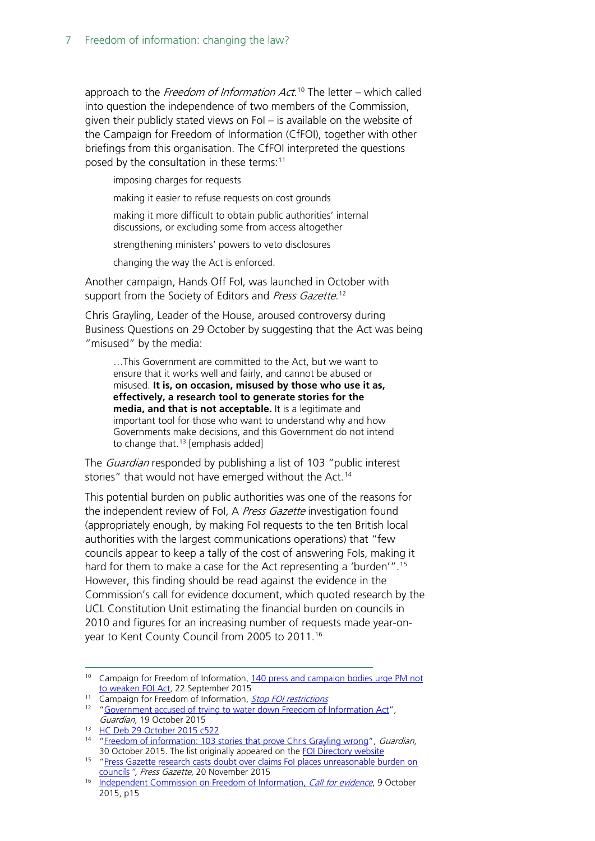approach to the *Freedom of Information Act*.<sup>[10](#page-6-0)</sup> The letter – which called into question the independence of two members of the Commission, given their publicly stated views on FoI – is available on the website of the Campaign for Freedom of Information (CfFOI), together with other briefings from this organisation. The CfFOI interpreted the questions posed by the consultation in these terms:<sup>[11](#page-6-1)</sup>

imposing charges for requests

making it easier to refuse requests on cost grounds

making it more difficult to obtain public authorities' internal discussions, or excluding some from access altogether

strengthening ministers' powers to veto disclosures

changing the way the Act is enforced.

Another campaign, Hands Off FoI, was launched in October with support from the Society of Editors and *Press Gazette*.<sup>[12](#page-6-2)</sup>

Chris Grayling, Leader of the House, aroused controversy during Business Questions on 29 October by suggesting that the Act was being "misused" by the media:

…This Government are committed to the Act, but we want to ensure that it works well and fairly, and cannot be abused or misused. **It is, on occasion, misused by those who use it as, effectively, a research tool to generate stories for the media, and that is not acceptable.** It is a legitimate and important tool for those who want to understand why and how Governments make decisions, and this Government do not intend to change that.<sup>[13](#page-6-3)</sup> [emphasis added]

The *Guardian* responded by publishing a list of 103 "public interest stories" that would not have emerged without the Act.<sup>[14](#page-6-4)</sup>

This potential burden on public authorities was one of the reasons for the independent review of FoI, A Press Gazette investigation found (appropriately enough, by making FoI requests to the ten British local authorities with the largest communications operations) that "few councils appear to keep a tally of the cost of answering Fols, making it hard for them to make a case for the Act representing a 'burden'".<sup>[15](#page-6-5)</sup> However, this finding should be read against the evidence in the Commission's call for evidence document, which quoted research by the UCL Constitution Unit estimating the financial burden on councils in 2010 and figures for an increasing number of requests made year-onyear to Kent County Council from 2005 to 2011.[16](#page-6-6)

<sup>11</sup> Campaign for Freedom of Information, *[Stop FOI restrictions](https://www.cfoi.org.uk/campaigns/stop-foi-restrictions/)* 

<span id="page-6-0"></span><sup>&</sup>lt;sup>10</sup> Campaign for Freedom of Information, 140 press and campaign bodies urge PM not [to weaken FOI Act,](https://www.cfoi.org.uk/2015/09/140-press-and-campaign-bodies-urge-pm-not-to-weaken-foi-act/#more-7596) 22 September 2015

<span id="page-6-2"></span><span id="page-6-1"></span><sup>&</sup>lt;sup>12</sup> ["Government accused of trying to water down Freedom of Information Act"](http://www.theguardian.com/politics/2015/oct/19/government-accused-of-trying-to-water-down-freedom-of-information-act), Guardian, 19 October 2015

<span id="page-6-3"></span><sup>13</sup> [HC Deb 29 October 2015 c522](http://www.publications.parliament.uk/pa/cm201516/cmhansrd/cm151029/debtext/151029-0002.htm)

<span id="page-6-4"></span><sup>&</sup>lt;sup>14</sup> ["Freedom of information: 103 stories that prove Chris Grayling wrong"](http://www.theguardian.com/media/2015/oct/30/freedom-of-information-act-chris-grayling-misuse-foi), Guardian, 30 October 2015. The list originally appeared on the [FOI Directory website](http://www.foi.directory/featured/exposed-103-cases-where-journalists-have-misused-freedom-of-information-requests-in-2015/)

<span id="page-6-5"></span><sup>&</sup>lt;sup>15</sup> "Press Gazette research casts doubt over claims FoI places unreasonable burden on [councils](http://www.pressgazette.co.uk/press-gazette-research-casts-doubt-over-claims-foi-places-unreasonable-burden-councils)", Press Gazette, 20 November 2015

<span id="page-6-6"></span><sup>&</sup>lt;sup>16</sup> [Independent Commission on Freedom of Information,](https://www.gov.uk/government/uploads/system/uploads/attachment_data/file/472007/ICFOI_call_for_evidence_paper_web281015.pdf) *Call for evidence*, 9 October 2015, p15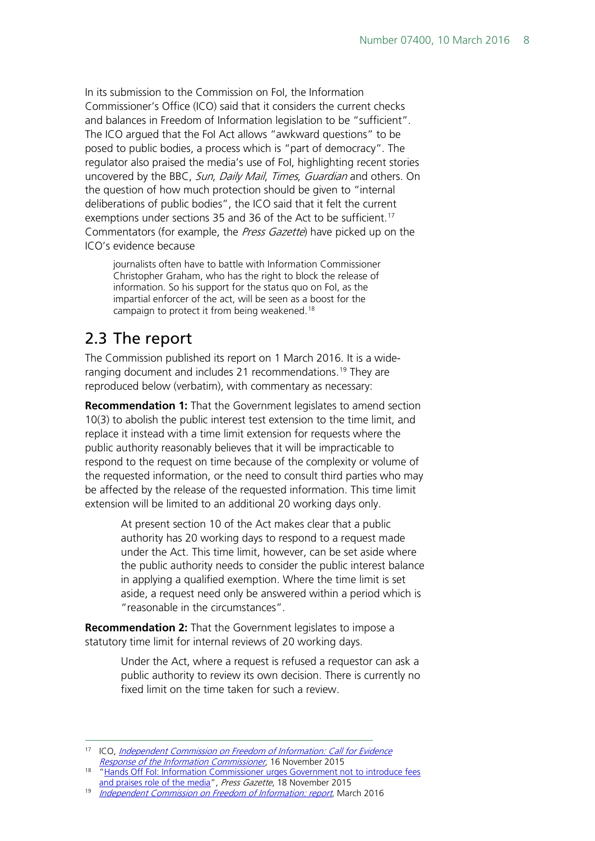In its submission to the Commission on FoI, the Information Commissioner's Office (ICO) said that it considers the current checks and balances in Freedom of Information legislation to be "sufficient". The ICO argued that the FoI Act allows "awkward questions" to be posed to public bodies, a process which is "part of democracy". The regulator also praised the media's use of FoI, highlighting recent stories uncovered by the BBC, Sun, Daily Mail, Times, Guardian and others. On the question of how much protection should be given to "internal deliberations of public bodies", the ICO said that it felt the current exemptions under sections 35 and 36 of the Act to be sufficient.<sup>[17](#page-7-1)</sup> Commentators (for example, the Press Gazette) have picked up on the ICO's evidence because

journalists often have to battle with Information Commissioner Christopher Graham, who has the right to block the release of information. So his support for the status quo on FoI, as the impartial enforcer of the act, will be seen as a boost for the campaign to protect it from being weakened.<sup>[18](#page-7-2)</sup>

### <span id="page-7-0"></span>2.3 The report

The Commission published its report on 1 March 2016. It is a wide-ranging document and includes 21 recommendations.<sup>[19](#page-7-3)</sup> They are reproduced below (verbatim), with commentary as necessary:

**Recommendation 1:** That the Government legislates to amend section 10(3) to abolish the public interest test extension to the time limit, and replace it instead with a time limit extension for requests where the public authority reasonably believes that it will be impracticable to respond to the request on time because of the complexity or volume of the requested information, or the need to consult third parties who may be affected by the release of the requested information. This time limit extension will be limited to an additional 20 working days only.

> At present section 10 of the Act makes clear that a public authority has 20 working days to respond to a request made under the Act. This time limit, however, can be set aside where the public authority needs to consider the public interest balance in applying a qualified exemption. Where the time limit is set aside, a request need only be answered within a period which is "reasonable in the circumstances".

**Recommendation 2:** That the Government legislates to impose a statutory time limit for internal reviews of 20 working days.

> Under the Act, where a request is refused a requestor can ask a public authority to review its own decision. There is currently no fixed limit on the time taken for such a review.

<span id="page-7-1"></span> <sup>17</sup> ICO, [Independent Commission on Freedom of Information: Call for Evidence](https://ico.org.uk/media/about-the-ico/consultation-responses/2015/1560175/ico-response-independent-commission-on-freedom-of-information.pdf)  [Response of the Information Commissioner](https://ico.org.uk/media/about-the-ico/consultation-responses/2015/1560175/ico-response-independent-commission-on-freedom-of-information.pdf), 16 November 2015

<span id="page-7-2"></span><sup>&</sup>lt;sup>18</sup> "Hands Off Fol: Information Commissioner urges Government not to introduce fees [and praises role of the media"](http://www.pressgazette.co.uk/hands-foi-information-commissioner-urges-government-not-introduce-fees-and-praises-role-media), Press Gazette, 18 November 2015

<span id="page-7-3"></span><sup>&</sup>lt;sup>19</sup> [Independent Commission on Freedom of Information: report](https://www.gov.uk/government/uploads/system/uploads/attachment_data/file/504139/Independent_Freedom_of_Information_Commission_Report.pdf), March 2016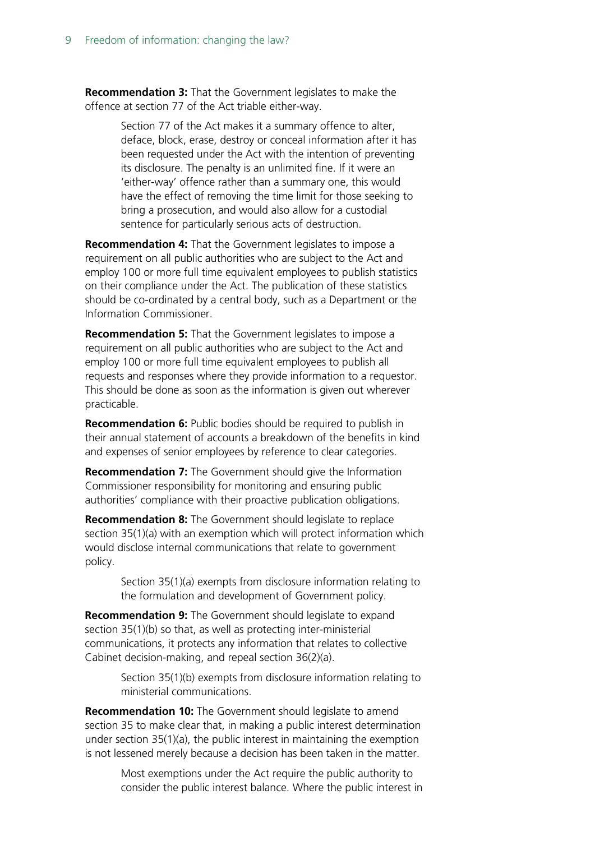**Recommendation 3:** That the Government legislates to make the offence at section 77 of the Act triable either-way.

> Section 77 of the Act makes it a summary offence to alter, deface, block, erase, destroy or conceal information after it has been requested under the Act with the intention of preventing its disclosure. The penalty is an unlimited fine. If it were an 'either-way' offence rather than a summary one, this would have the effect of removing the time limit for those seeking to bring a prosecution, and would also allow for a custodial sentence for particularly serious acts of destruction.

**Recommendation 4:** That the Government legislates to impose a requirement on all public authorities who are subject to the Act and employ 100 or more full time equivalent employees to publish statistics on their compliance under the Act. The publication of these statistics should be co-ordinated by a central body, such as a Department or the Information Commissioner.

**Recommendation 5:** That the Government legislates to impose a requirement on all public authorities who are subject to the Act and employ 100 or more full time equivalent employees to publish all requests and responses where they provide information to a requestor. This should be done as soon as the information is given out wherever practicable.

**Recommendation 6:** Public bodies should be required to publish in their annual statement of accounts a breakdown of the benefits in kind and expenses of senior employees by reference to clear categories.

**Recommendation 7:** The Government should give the Information Commissioner responsibility for monitoring and ensuring public authorities' compliance with their proactive publication obligations.

**Recommendation 8:** The Government should legislate to replace section 35(1)(a) with an exemption which will protect information which would disclose internal communications that relate to government policy.

> Section 35(1)(a) exempts from disclosure information relating to the formulation and development of Government policy.

**Recommendation 9:** The Government should legislate to expand section 35(1)(b) so that, as well as protecting inter-ministerial communications, it protects any information that relates to collective Cabinet decision-making, and repeal section 36(2)(a).

> Section 35(1)(b) exempts from disclosure information relating to ministerial communications.

**Recommendation 10:** The Government should legislate to amend section 35 to make clear that, in making a public interest determination under section 35(1)(a), the public interest in maintaining the exemption is not lessened merely because a decision has been taken in the matter.

> Most exemptions under the Act require the public authority to consider the public interest balance. Where the public interest in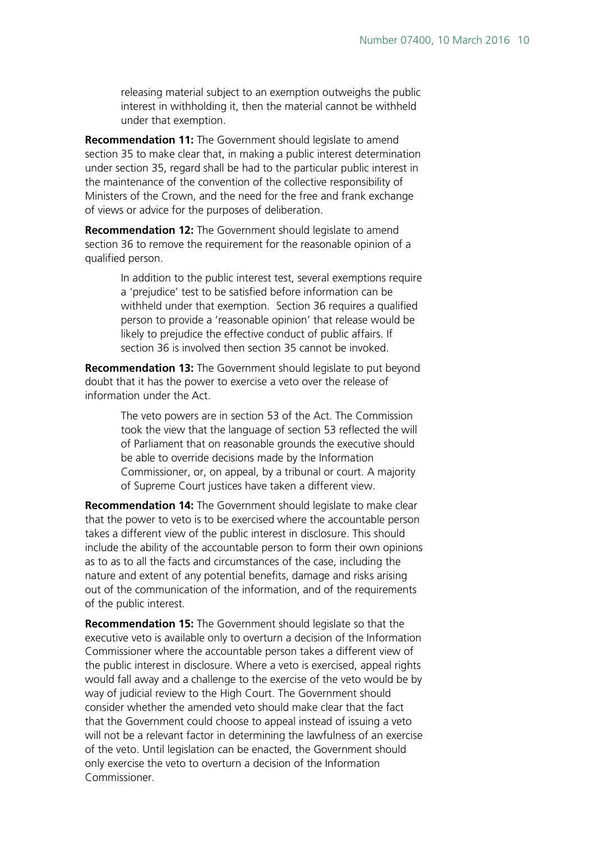releasing material subject to an exemption outweighs the public interest in withholding it, then the material cannot be withheld under that exemption.

**Recommendation 11:** The Government should legislate to amend section 35 to make clear that, in making a public interest determination under section 35, regard shall be had to the particular public interest in the maintenance of the convention of the collective responsibility of Ministers of the Crown, and the need for the free and frank exchange of views or advice for the purposes of deliberation.

**Recommendation 12:** The Government should legislate to amend section 36 to remove the requirement for the reasonable opinion of a qualified person.

> In addition to the public interest test, several exemptions require a 'prejudice' test to be satisfied before information can be withheld under that exemption. Section 36 requires a qualified person to provide a 'reasonable opinion' that release would be likely to prejudice the effective conduct of public affairs. If section 36 is involved then section 35 cannot be invoked.

**Recommendation 13:** The Government should legislate to put beyond doubt that it has the power to exercise a veto over the release of information under the Act.

> The veto powers are in section 53 of the Act. The Commission took the view that the language of section 53 reflected the will of Parliament that on reasonable grounds the executive should be able to override decisions made by the Information Commissioner, or, on appeal, by a tribunal or court. A majority of Supreme Court justices have taken a different view.

**Recommendation 14:** The Government should legislate to make clear that the power to veto is to be exercised where the accountable person takes a different view of the public interest in disclosure. This should include the ability of the accountable person to form their own opinions as to as to all the facts and circumstances of the case, including the nature and extent of any potential benefits, damage and risks arising out of the communication of the information, and of the requirements of the public interest.

**Recommendation 15:** The Government should legislate so that the executive veto is available only to overturn a decision of the Information Commissioner where the accountable person takes a different view of the public interest in disclosure. Where a veto is exercised, appeal rights would fall away and a challenge to the exercise of the veto would be by way of judicial review to the High Court. The Government should consider whether the amended veto should make clear that the fact that the Government could choose to appeal instead of issuing a veto will not be a relevant factor in determining the lawfulness of an exercise of the veto. Until legislation can be enacted, the Government should only exercise the veto to overturn a decision of the Information Commissioner.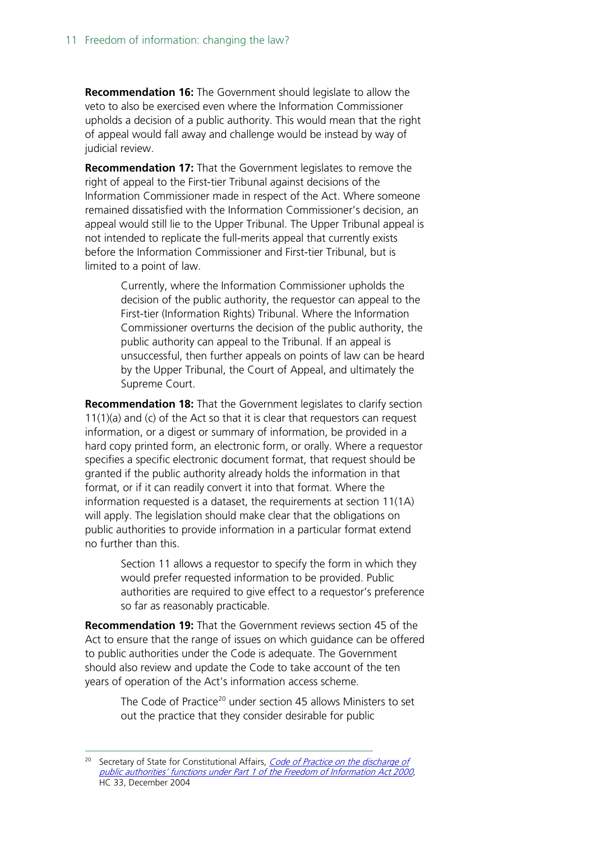**Recommendation 16:** The Government should legislate to allow the veto to also be exercised even where the Information Commissioner upholds a decision of a public authority. This would mean that the right of appeal would fall away and challenge would be instead by way of judicial review.

**Recommendation 17:** That the Government legislates to remove the right of appeal to the First-tier Tribunal against decisions of the Information Commissioner made in respect of the Act. Where someone remained dissatisfied with the Information Commissioner's decision, an appeal would still lie to the Upper Tribunal. The Upper Tribunal appeal is not intended to replicate the full-merits appeal that currently exists before the Information Commissioner and First-tier Tribunal, but is limited to a point of law.

> Currently, where the Information Commissioner upholds the decision of the public authority, the requestor can appeal to the First-tier (Information Rights) Tribunal. Where the Information Commissioner overturns the decision of the public authority, the public authority can appeal to the Tribunal. If an appeal is unsuccessful, then further appeals on points of law can be heard by the Upper Tribunal, the Court of Appeal, and ultimately the Supreme Court.

**Recommendation 18:** That the Government legislates to clarify section 11(1)(a) and (c) of the Act so that it is clear that requestors can request information, or a digest or summary of information, be provided in a hard copy printed form, an electronic form, or orally. Where a requestor specifies a specific electronic document format, that request should be granted if the public authority already holds the information in that format, or if it can readily convert it into that format. Where the information requested is a dataset, the requirements at section 11(1A) will apply. The legislation should make clear that the obligations on public authorities to provide information in a particular format extend no further than this.

> Section 11 allows a requestor to specify the form in which they would prefer requested information to be provided. Public authorities are required to give effect to a requestor's preference so far as reasonably practicable.

**Recommendation 19:** That the Government reviews section 45 of the Act to ensure that the range of issues on which guidance can be offered to public authorities under the Code is adequate. The Government should also review and update the Code to take account of the ten years of operation of the Act's information access scheme.

> The Code of Practice<sup>[20](#page-10-0)</sup> under section 45 allows Ministers to set out the practice that they consider desirable for public

<span id="page-10-0"></span><sup>&</sup>lt;sup>20</sup> Secretary of State for Constitutional Affairs, *Code of Practice on the discharge of* [public authorities' functions under Part 1 of the Freedom of Information Act 2000](https://www.gov.uk/government/uploads/system/uploads/attachment_data/file/235286/0033.pdf), HC 33, December 2004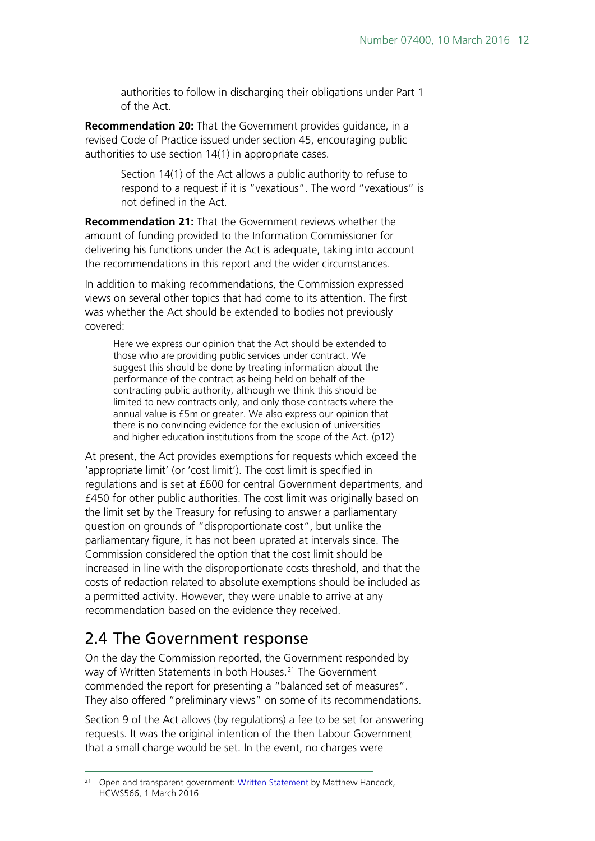authorities to follow in discharging their obligations under Part 1 of the Act.

**Recommendation 20:** That the Government provides guidance, in a revised Code of Practice issued under section 45, encouraging public authorities to use section 14(1) in appropriate cases.

> Section 14(1) of the Act allows a public authority to refuse to respond to a request if it is "vexatious". The word "vexatious" is not defined in the Act.

**Recommendation 21:** That the Government reviews whether the amount of funding provided to the Information Commissioner for delivering his functions under the Act is adequate, taking into account the recommendations in this report and the wider circumstances.

In addition to making recommendations, the Commission expressed views on several other topics that had come to its attention. The first was whether the Act should be extended to bodies not previously covered:

Here we express our opinion that the Act should be extended to those who are providing public services under contract. We suggest this should be done by treating information about the performance of the contract as being held on behalf of the contracting public authority, although we think this should be limited to new contracts only, and only those contracts where the annual value is £5m or greater. We also express our opinion that there is no convincing evidence for the exclusion of universities and higher education institutions from the scope of the Act. (p12)

At present, the Act provides exemptions for requests which exceed the 'appropriate limit' (or 'cost limit'). The cost limit is specified in regulations and is set at £600 for central Government departments, and £450 for other public authorities. The cost limit was originally based on the limit set by the Treasury for refusing to answer a parliamentary question on grounds of "disproportionate cost", but unlike the parliamentary figure, it has not been uprated at intervals since. The Commission considered the option that the cost limit should be increased in line with the disproportionate costs threshold, and that the costs of redaction related to absolute exemptions should be included as a permitted activity. However, they were unable to arrive at any recommendation based on the evidence they received.

#### <span id="page-11-0"></span>2.4 The Government response

On the day the Commission reported, the Government responded by way of Written Statements in both Houses.<sup>[21](#page-11-1)</sup> The Government commended the report for presenting a "balanced set of measures". They also offered "preliminary views" on some of its recommendations.

Section 9 of the Act allows (by regulations) a fee to be set for answering requests. It was the original intention of the then Labour Government that a small charge would be set. In the event, no charges were

<span id="page-11-1"></span><sup>&</sup>lt;sup>21</sup> Open and transparent government: [Written Statement](http://www.parliament.uk/business/publications/written-questions-answers-statements/written-statement/Commons/2016-03-01/HCWS566/) by Matthew Hancock, HCWS566, 1 March 2016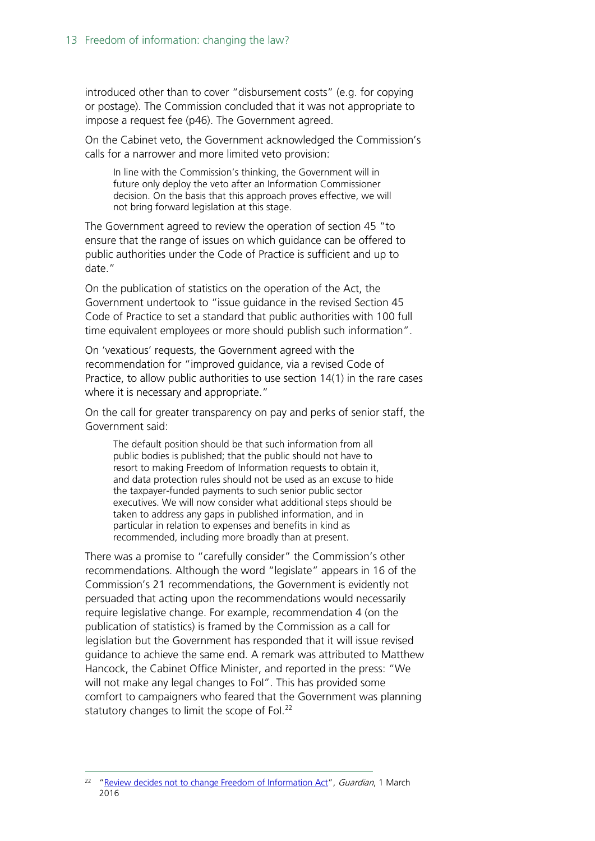introduced other than to cover "disbursement costs" (e.g. for copying or postage). The Commission concluded that it was not appropriate to impose a request fee (p46). The Government agreed.

On the Cabinet veto, the Government acknowledged the Commission's calls for a narrower and more limited veto provision:

In line with the Commission's thinking, the Government will in future only deploy the veto after an Information Commissioner decision. On the basis that this approach proves effective, we will not bring forward legislation at this stage.

The Government agreed to review the operation of section 45 "to ensure that the range of issues on which guidance can be offered to public authorities under the Code of Practice is sufficient and up to date."

On the publication of statistics on the operation of the Act, the Government undertook to "issue guidance in the revised Section 45 Code of Practice to set a standard that public authorities with 100 full time equivalent employees or more should publish such information".

On 'vexatious' requests, the Government agreed with the recommendation for "improved guidance, via a revised Code of Practice, to allow public authorities to use section 14(1) in the rare cases where it is necessary and appropriate."

On the call for greater transparency on pay and perks of senior staff, the Government said:

The default position should be that such information from all public bodies is published; that the public should not have to resort to making Freedom of Information requests to obtain it, and data protection rules should not be used as an excuse to hide the taxpayer-funded payments to such senior public sector executives. We will now consider what additional steps should be taken to address any gaps in published information, and in particular in relation to expenses and benefits in kind as recommended, including more broadly than at present.

There was a promise to "carefully consider" the Commission's other recommendations. Although the word "legislate" appears in 16 of the Commission's 21 recommendations, the Government is evidently not persuaded that acting upon the recommendations would necessarily require legislative change. For example, recommendation 4 (on the publication of statistics) is framed by the Commission as a call for legislation but the Government has responded that it will issue revised guidance to achieve the same end. A remark was attributed to Matthew Hancock, the Cabinet Office Minister, and reported in the press: "We will not make any legal changes to FoI". This has provided some comfort to campaigners who feared that the Government was planning statutory changes to limit the scope of Fol.<sup>22</sup>

<span id="page-12-0"></span><sup>&</sup>lt;sup>22</sup> ["Review decides not to change Freedom of Information Act"](http://www.theguardian.com/politics/2016/mar/01/freedom-of-information-review-decides-no-legal-changes-to-act), *Guardian*, 1 March 2016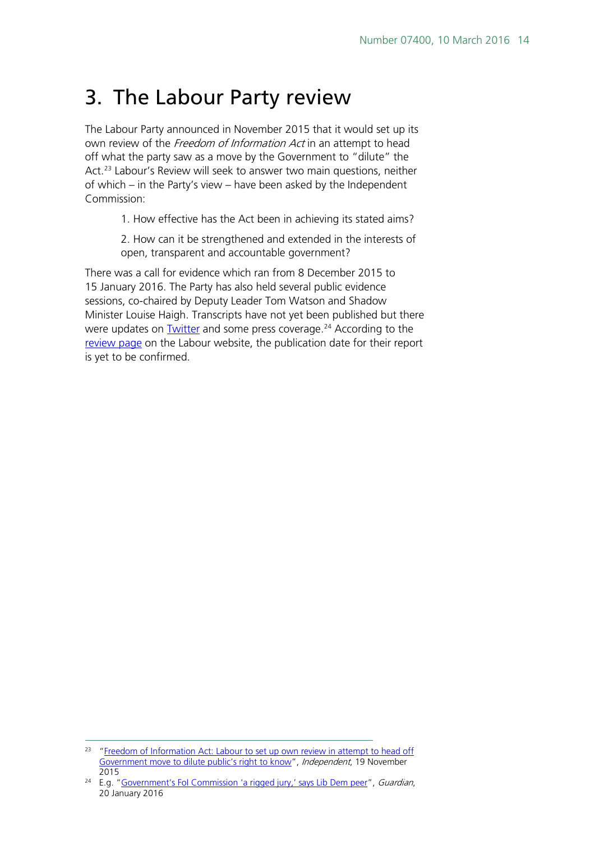### <span id="page-13-0"></span>3. The Labour Party review

The Labour Party announced in November 2015 that it would set up its own review of the Freedom of Information Act in an attempt to head off what the party saw as a move by the Government to "dilute" the Act.<sup>[23](#page-13-1)</sup> Labour's Review will seek to answer two main questions, neither of which – in the Party's view – have been asked by the Independent Commission:

1. How effective has the Act been in achieving its stated aims?

2. How can it be strengthened and extended in the interests of open, transparent and accountable government?

There was a call for evidence which ran from 8 December 2015 to 15 January 2016. The Party has also held several public evidence sessions, co-chaired by Deputy Leader Tom Watson and Shadow Minister Louise Haigh. Transcripts have not yet been published but there were updates on **Twitter** and some press coverage.<sup>[24](#page-13-2)</sup> According to the [review page](http://www.labour.org.uk/pages/labours-foi-review) on the Labour website, the publication date for their report is yet to be confirmed.

<span id="page-13-1"></span><sup>&</sup>lt;sup>23</sup> "Freedom of Information Act: Labour to set up own review in attempt to head off [Government move to dilute public's right to know"](http://www.independent.co.uk/news/uk/politics/freedom-of-information-act-labour-to-set-up-own-review-in-attempt-to-head-off-government-move-to-a6741121.html), Independent, 19 November 2015

<span id="page-13-2"></span><sup>&</sup>lt;sup>24</sup> E.g. "Government's Fol Commission 'a rigged jury,' says Lib Dem peer", Guardian, 20 January 2016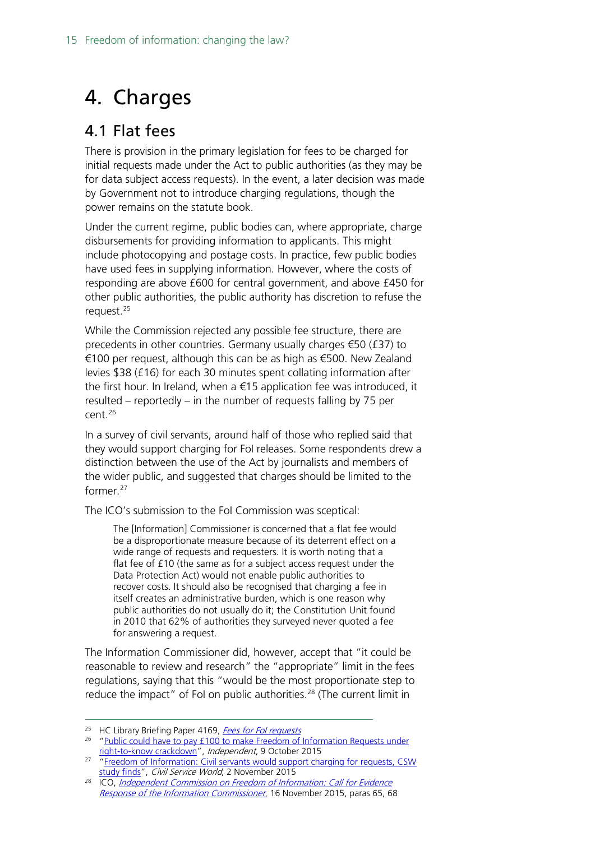# <span id="page-14-0"></span>4. Charges

### <span id="page-14-1"></span>4.1 Flat fees

There is provision in the primary legislation for fees to be charged for initial requests made under the Act to public authorities (as they may be for data subject access requests). In the event, a later decision was made by Government not to introduce charging regulations, though the power remains on the statute book.

Under the current regime, public bodies can, where appropriate, charge disbursements for providing information to applicants. This might include photocopying and postage costs. In practice, few public bodies have used fees in supplying information. However, where the costs of responding are above £600 for central government, and above £450 for other public authorities, the public authority has discretion to refuse the request.<sup>25</sup>

While the Commission rejected any possible fee structure, there are precedents in other countries. Germany usually charges €50 (£37) to €100 per request, although this can be as high as €500. New Zealand levies \$38 (£16) for each 30 minutes spent collating information after the first hour. In Ireland, when a €15 application fee was introduced, it resulted – reportedly – in the number of requests falling by 75 per cent.[26](#page-14-3)

In a survey of civil servants, around half of those who replied said that they would support charging for FoI releases. Some respondents drew a distinction between the use of the Act by journalists and members of the wider public, and suggested that charges should be limited to the former<sup>[27](#page-14-4)</sup>

The ICO's submission to the FoI Commission was sceptical:

The [Information] Commissioner is concerned that a flat fee would be a disproportionate measure because of its deterrent effect on a wide range of requests and requesters. It is worth noting that a flat fee of £10 (the same as for a subject access request under the Data Protection Act) would not enable public authorities to recover costs. It should also be recognised that charging a fee in itself creates an administrative burden, which is one reason why public authorities do not usually do it; the Constitution Unit found in 2010 that 62% of authorities they surveyed never quoted a fee for answering a request.

The Information Commissioner did, however, accept that "it could be reasonable to review and research" the "appropriate" limit in the fees regulations, saying that this "would be the most proportionate step to reduce the impact" of FoI on public authorities.<sup>[28](#page-14-5)</sup> (The current limit in

<span id="page-14-2"></span><sup>&</sup>lt;sup>25</sup> HC Library Briefing Paper 4169, Fees for Fol requests

<span id="page-14-3"></span><sup>&</sup>lt;sup>26</sup> "Public could have to pay £100 to make Freedom of Information Requests under [right-to-know crackdown"](http://www.independent.co.uk/news/uk/politics/public-could-have-to-pay-100-to-make-freedom-of-information-requests-under-right-to-know-crackdown-a6688581.html), *Independent*, 9 October 2015

<span id="page-14-4"></span><sup>&</sup>lt;sup>27</sup> "Freedom of Information: Civil servants would support charging for requests, CSW [study finds"](https://www.civilserviceworld.com/articles/analysis/freedom-information-civil-servants-would-support-charging-requests-csw-study-finds), Civil Service World, 2 November 2015

<span id="page-14-5"></span><sup>&</sup>lt;sup>28</sup> ICO, *Independent Commission on Freedom of Information: Call for Evidence* [Response of the Information Commissioner](https://ico.org.uk/media/about-the-ico/consultation-responses/2015/1560175/ico-response-independent-commission-on-freedom-of-information.pdf), 16 November 2015, paras 65, 68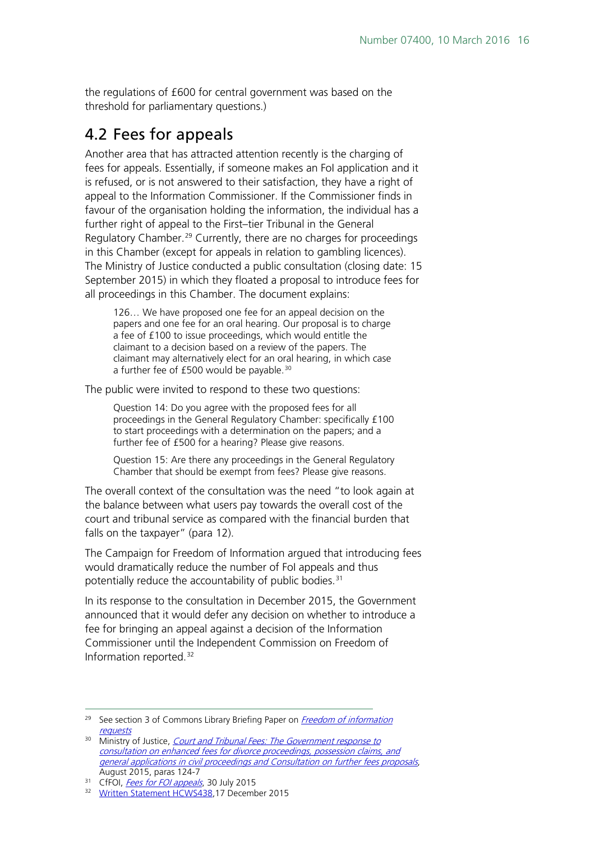the regulations of £600 for central government was based on the threshold for parliamentary questions.)

### <span id="page-15-0"></span>4.2 Fees for appeals

Another area that has attracted attention recently is the charging of fees for appeals. Essentially, if someone makes an FoI application and it is refused, or is not answered to their satisfaction, they have a right of appeal to the Information Commissioner. If the Commissioner finds in favour of the organisation holding the information, the individual has a further right of appeal to the First–tier Tribunal in the General Regulatory Chamber.<sup>[29](#page-15-1)</sup> Currently, there are no charges for proceedings in this Chamber (except for appeals in relation to gambling licences). The Ministry of Justice conducted a public consultation (closing date: 15 September 2015) in which they floated a proposal to introduce fees for all proceedings in this Chamber. The document explains:

126… We have proposed one fee for an appeal decision on the papers and one fee for an oral hearing. Our proposal is to charge a fee of £100 to issue proceedings, which would entitle the claimant to a decision based on a review of the papers. The claimant may alternatively elect for an oral hearing, in which case a further fee of £500 would be payable.<sup>[30](#page-15-2)</sup>

The public were invited to respond to these two questions:

Question 14: Do you agree with the proposed fees for all proceedings in the General Regulatory Chamber: specifically £100 to start proceedings with a determination on the papers; and a further fee of £500 for a hearing? Please give reasons.

Question 15: Are there any proceedings in the General Regulatory Chamber that should be exempt from fees? Please give reasons.

The overall context of the consultation was the need "to look again at the balance between what users pay towards the overall cost of the court and tribunal service as compared with the financial burden that falls on the taxpayer" (para 12).

The Campaign for Freedom of Information argued that introducing fees would dramatically reduce the number of FoI appeals and thus potentially reduce the accountability of public bodies.<sup>[31](#page-15-3)</sup>

In its response to the consultation in December 2015, the Government announced that it would defer any decision on whether to introduce a fee for bringing an appeal against a decision of the Information Commissioner until the Independent Commission on Freedom of Information reported.[32](#page-15-4)

<span id="page-15-1"></span><sup>&</sup>lt;sup>29</sup> See section 3 of Commons Library Briefing Paper on *Freedom of information* **[requests](http://researchbriefings.intranet.parliament.uk/ResearchBriefing/Summary/SN02950)** 

<span id="page-15-2"></span><sup>&</sup>lt;sup>30</sup> Ministry of Justice, *Court and Tribunal Fees: The Government response to* [consultation on enhanced fees for divorce proceedings, possession claims, and](https://consult.justice.gov.uk/digital-communications/further-fees-proposal-consultation/supporting_documents/Government%20response%20to%20consultation%20on%20enhanced%20fees%20and%20consultation%20on%20further%20fees%20proposals%20web.pdf)  [general applications in civil proceedings and Consultation on further fees proposals](https://consult.justice.gov.uk/digital-communications/further-fees-proposal-consultation/supporting_documents/Government%20response%20to%20consultation%20on%20enhanced%20fees%20and%20consultation%20on%20further%20fees%20proposals%20web.pdf), August 2015, paras 124-7

<span id="page-15-4"></span><span id="page-15-3"></span><sup>&</sup>lt;sup>31</sup> CfFOI, [Fees for FOI appeals](https://www.cfoi.org.uk/2015/07/fees-for-foi-appeals/), 30 July 2015

<sup>32</sup> [Written Statement HCWS438,](http://www.parliament.uk/business/publications/written-questions-answers-statements/written-statement/Commons/2015-12-17/HCWS438/)17 December 2015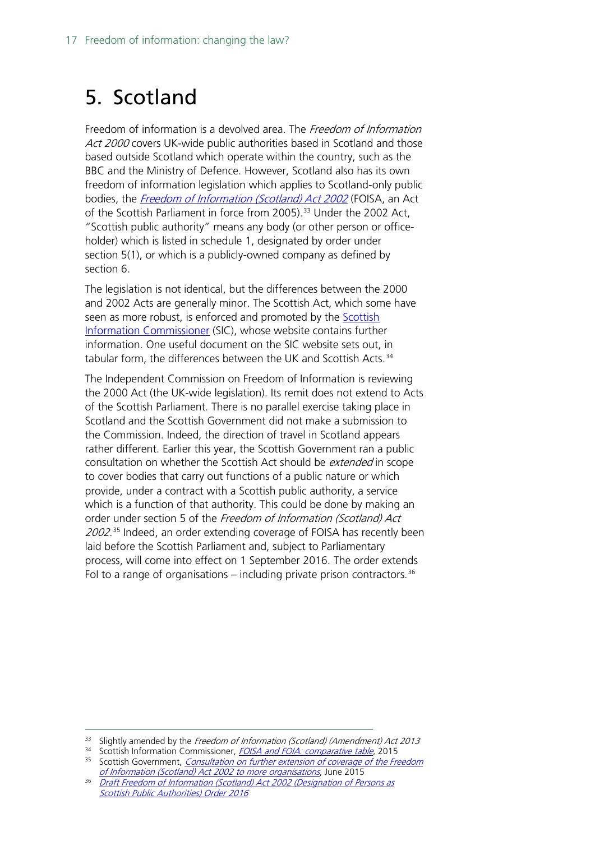### <span id="page-16-0"></span>5. Scotland

Freedom of information is a devolved area. The Freedom of Information Act 2000 covers UK-wide public authorities based in Scotland and those based outside Scotland which operate within the country, such as the BBC and the Ministry of Defence. However, Scotland also has its own freedom of information legislation which applies to Scotland-only public bodies, the [Freedom of Information \(Scotland\) Act 2002](http://www.legislation.gov.uk/asp/2002/13/contents) (FOISA, an Act of the Scottish Parliament in force from 2005).<sup>[33](#page-16-1)</sup> Under the 2002 Act, "Scottish public authority" means any body (or other person or officeholder) which is listed in schedule 1, designated by order under section 5(1), or which is a publicly-owned company as defined by section 6.

The legislation is not identical, but the differences between the 2000 and 2002 Acts are generally minor. The Scottish Act, which some have seen as more robust, is enforced and promoted by the **Scottish** [Information Commissioner](http://www.itspublicknowledge.info/home/ScottishInformationCommissioner.aspx) (SIC), whose website contains further information. One useful document on the SIC website sets out, in tabular form, the differences between the UK and Scottish Acts.<sup>[34](#page-16-2)</sup>

The Independent Commission on Freedom of Information is reviewing the 2000 Act (the UK-wide legislation). Its remit does not extend to Acts of the Scottish Parliament. There is no parallel exercise taking place in Scotland and the Scottish Government did not make a submission to the Commission. Indeed, the direction of travel in Scotland appears rather different. Earlier this year, the Scottish Government ran a public consultation on whether the Scottish Act should be *extended* in scope to cover bodies that carry out functions of a public nature or which provide, under a contract with a Scottish public authority, a service which is a function of that authority. This could be done by making an order under section 5 of the Freedom of Information (Scotland) Act 2002.<sup>[35](#page-16-3)</sup> Indeed, an order extending coverage of FOISA has recently been laid before the Scottish Parliament and, subject to Parliamentary process, will come into effect on 1 September 2016. The order extends Fol to a range of organisations – including private prison contractors.  $36$ 

[Scottish Public Authorities\) Order 2016](http://www.legislation.gov.uk/sdsi/2016/9780111030899/contents)

<sup>&</sup>lt;sup>33</sup> Slightly amended by the Freedom of Information (Scotland) (Amendment) Act 2013

<span id="page-16-3"></span><span id="page-16-2"></span><span id="page-16-1"></span><sup>34</sup> Scottish Information Commissioner, [FOISA and FOIA: comparative table](http://www.itspublicknowledge.info/Law/FOISA-EIRsGuidance/Briefings.aspx), 2015 <sup>35</sup> Scottish Government, *Consultation on further extension of coverage of the Freedom* 

<span id="page-16-4"></span>[of Information \(Scotland\) Act 2002](https://consult.scotland.gov.uk/freedom-of-information/foi-consultation/user_uploads/foi.pdf) to more organisations, June 2015 <sup>36</sup> [Draft Freedom of Information \(Scotland\) Act 2002 \(Designation of Persons as](http://www.legislation.gov.uk/sdsi/2016/9780111030899/contents)